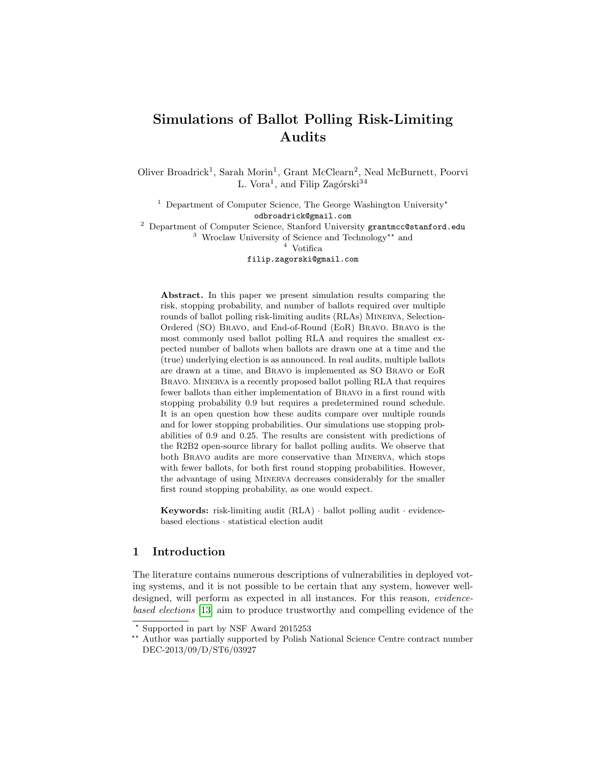# Simulations of Ballot Polling Risk-Limiting Audits

Oliver Broadrick<sup>1</sup>, Sarah Morin<sup>1</sup>, Grant McClearn<sup>2</sup>, Neal McBurnett, Poorvi L. Vora<sup>1</sup>, and Filip Zagórski<sup>34</sup>

<sup>1</sup> Department of Computer Science, The George Washington University<sup>\*</sup> odbroadrick@gmail.com

<sup>2</sup> Department of Computer Science, Stanford University grantmcc@stanford.edu <sup>3</sup> Wroclaw University of Science and Technology<sup>\*\*</sup> and

 $^4\,$ Votifica

filip.zagorski@gmail.com

Abstract. In this paper we present simulation results comparing the risk, stopping probability, and number of ballots required over multiple rounds of ballot polling risk-limiting audits (RLAs) Minerva, Selection-Ordered (SO) Bravo, and End-of-Round (EoR) Bravo. Bravo is the most commonly used ballot polling RLA and requires the smallest expected number of ballots when ballots are drawn one at a time and the (true) underlying election is as announced. In real audits, multiple ballots are drawn at a time, and Bravo is implemented as SO Bravo or EoR Bravo. Minerva is a recently proposed ballot polling RLA that requires fewer ballots than either implementation of Bravo in a first round with stopping probability 0.9 but requires a predetermined round schedule. It is an open question how these audits compare over multiple rounds and for lower stopping probabilities. Our simulations use stopping probabilities of 0.9 and 0.25. The results are consistent with predictions of the R2B2 open-source library for ballot polling audits. We observe that both Bravo audits are more conservative than Minerva, which stops with fewer ballots, for both first round stopping probabilities. However, the advantage of using Minerva decreases considerably for the smaller first round stopping probability, as one would expect.

**Keywords:** risk-limiting audit  $(RLA) \cdot \text{ballot polling audit} \cdot \text{evidence}$ based elections · statistical election audit

## 1 Introduction

The literature contains numerous descriptions of vulnerabilities in deployed voting systems, and it is not possible to be certain that any system, however welldesigned, will perform as expected in all instances. For this reason, evidencebased elections [\[13\]](#page-14-0) aim to produce trustworthy and compelling evidence of the

<sup>?</sup> Supported in part by NSF Award 2015253

<sup>\*\*</sup> Author was partially supported by Polish National Science Centre contract number DEC-2013/09/D/ST6/03927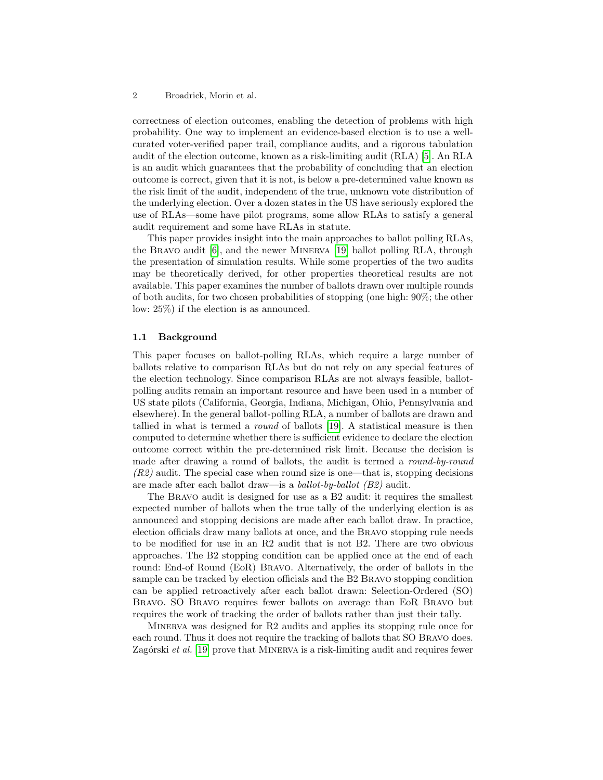correctness of election outcomes, enabling the detection of problems with high probability. One way to implement an evidence-based election is to use a wellcurated voter-verified paper trail, compliance audits, and a rigorous tabulation audit of the election outcome, known as a risk-limiting audit (RLA) [\[5\]](#page-14-1). An RLA is an audit which guarantees that the probability of concluding that an election outcome is correct, given that it is not, is below a pre-determined value known as the risk limit of the audit, independent of the true, unknown vote distribution of the underlying election. Over a dozen states in the US have seriously explored the use of RLAs—some have pilot programs, some allow RLAs to satisfy a general audit requirement and some have RLAs in statute.

This paper provides insight into the main approaches to ballot polling RLAs, the Bravo audit [\[6\]](#page-14-2), and the newer Minerva [\[19\]](#page-14-3) ballot polling RLA, through the presentation of simulation results. While some properties of the two audits may be theoretically derived, for other properties theoretical results are not available. This paper examines the number of ballots drawn over multiple rounds of both audits, for two chosen probabilities of stopping (one high: 90%; the other low: 25%) if the election is as announced.

### 1.1 Background

This paper focuses on ballot-polling RLAs, which require a large number of ballots relative to comparison RLAs but do not rely on any special features of the election technology. Since comparison RLAs are not always feasible, ballotpolling audits remain an important resource and have been used in a number of US state pilots (California, Georgia, Indiana, Michigan, Ohio, Pennsylvania and elsewhere). In the general ballot-polling RLA, a number of ballots are drawn and tallied in what is termed a round of ballots [\[19\]](#page-14-3). A statistical measure is then computed to determine whether there is sufficient evidence to declare the election outcome correct within the pre-determined risk limit. Because the decision is made after drawing a round of ballots, the audit is termed a round-by-round  $(R2)$  audit. The special case when round size is one—that is, stopping decisions are made after each ballot draw—is a ballot-by-ballot (B2) audit.

The Bravo audit is designed for use as a B2 audit: it requires the smallest expected number of ballots when the true tally of the underlying election is as announced and stopping decisions are made after each ballot draw. In practice, election officials draw many ballots at once, and the Bravo stopping rule needs to be modified for use in an R2 audit that is not B2. There are two obvious approaches. The B2 stopping condition can be applied once at the end of each round: End-of Round (EoR) Bravo. Alternatively, the order of ballots in the sample can be tracked by election officials and the B2 Bravo stopping condition can be applied retroactively after each ballot drawn: Selection-Ordered (SO) Bravo. SO Bravo requires fewer ballots on average than EoR Bravo but requires the work of tracking the order of ballots rather than just their tally.

Minerva was designed for R2 audits and applies its stopping rule once for each round. Thus it does not require the tracking of ballots that SO Bravo does. Zagórski *et al.* [\[19\]](#page-14-3) prove that MINERVA is a risk-limiting audit and requires fewer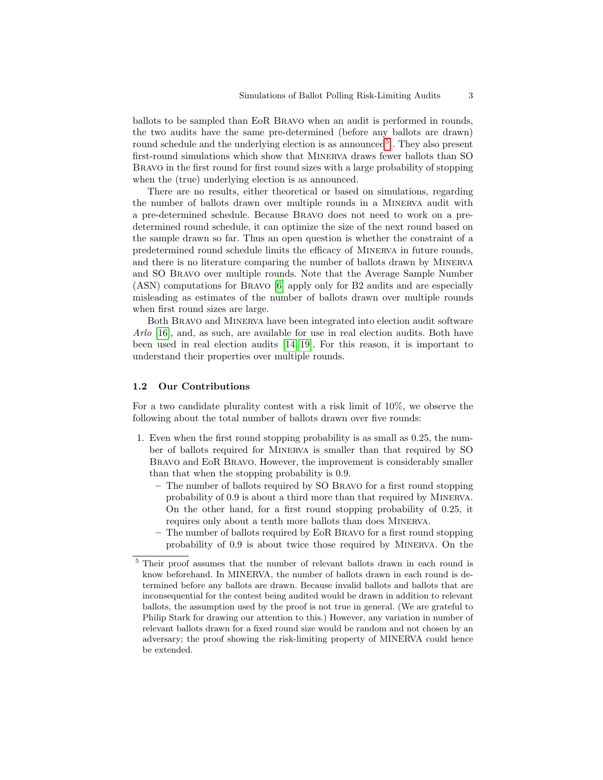ballots to be sampled than EoR Bravo when an audit is performed in rounds, the two audits have the same pre-determined (before any ballots are drawn) round schedule and the underlying election is as announced<sup>[5](#page-2-0)</sup>. They also present first-round simulations which show that Minerva draws fewer ballots than SO Bravo in the first round for first round sizes with a large probability of stopping when the (true) underlying election is as announced.

There are no results, either theoretical or based on simulations, regarding the number of ballots drawn over multiple rounds in a Minerva audit with a pre-determined schedule. Because Bravo does not need to work on a predetermined round schedule, it can optimize the size of the next round based on the sample drawn so far. Thus an open question is whether the constraint of a predetermined round schedule limits the efficacy of Minerva in future rounds, and there is no literature comparing the number of ballots drawn by Minerva and SO Bravo over multiple rounds. Note that the Average Sample Number (ASN) computations for Bravo [\[6\]](#page-14-2) apply only for B2 audits and are especially misleading as estimates of the number of ballots drawn over multiple rounds when first round sizes are large.

Both Bravo and Minerva have been integrated into election audit software Arlo [\[16\]](#page-14-4), and, as such, are available for use in real election audits. Both have been used in real election audits [\[14,](#page-14-5) [19\]](#page-14-3). For this reason, it is important to understand their properties over multiple rounds.

### 1.2 Our Contributions

For a two candidate plurality contest with a risk limit of 10%, we observe the following about the total number of ballots drawn over five rounds:

- 1. Even when the first round stopping probability is as small as 0.25, the number of ballots required for Minerva is smaller than that required by SO Bravo and EoR Bravo. However, the improvement is considerably smaller than that when the stopping probability is 0.9.
	- The number of ballots required by SO Bravo for a first round stopping probability of 0.9 is about a third more than that required by Minerva. On the other hand, for a first round stopping probability of 0.25, it requires only about a tenth more ballots than does Minerva.
	- The number of ballots required by EoR Bravo for a first round stopping probability of 0.9 is about twice those required by Minerva. On the

<span id="page-2-0"></span><sup>5</sup> Their proof assumes that the number of relevant ballots drawn in each round is know beforehand. In MINERVA, the number of ballots drawn in each round is determined before any ballots are drawn. Because invalid ballots and ballots that are inconsequential for the contest being audited would be drawn in addition to relevant ballots, the assumption used by the proof is not true in general. (We are grateful to Philip Stark for drawing our attention to this.) However, any variation in number of relevant ballots drawn for a fixed round size would be random and not chosen by an adversary; the proof showing the risk-limiting property of MINERVA could hence be extended.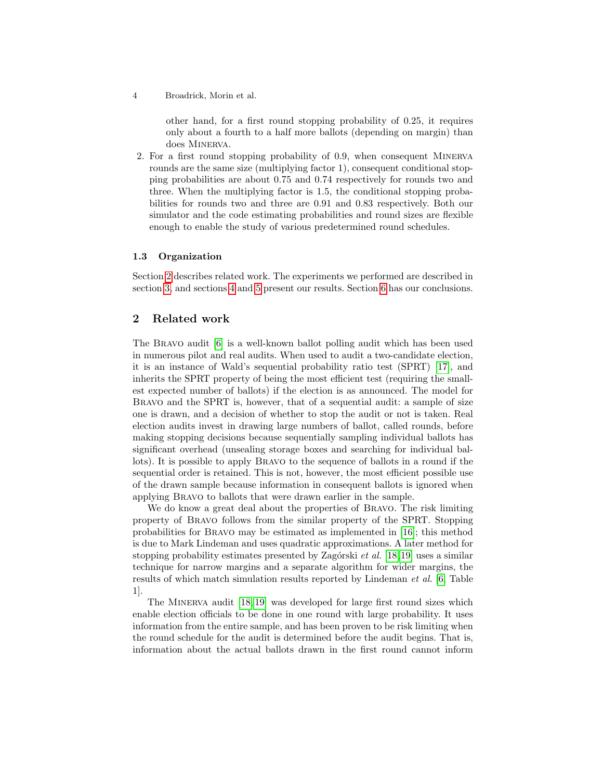other hand, for a first round stopping probability of 0.25, it requires only about a fourth to a half more ballots (depending on margin) than does MINERVA.

2. For a first round stopping probability of 0.9, when consequent Minerva rounds are the same size (multiplying factor 1), consequent conditional stopping probabilities are about 0.75 and 0.74 respectively for rounds two and three. When the multiplying factor is 1.5, the conditional stopping probabilities for rounds two and three are 0.91 and 0.83 respectively. Both our simulator and the code estimating probabilities and round sizes are flexible enough to enable the study of various predetermined round schedules.

### 1.3 Organization

Section [2](#page-3-0) describes related work. The experiments we performed are described in section [3,](#page-4-0) and sections [4](#page-6-0) and [5](#page-10-0) present our results. Section [6](#page-13-0) has our conclusions.

# <span id="page-3-0"></span>2 Related work

The Bravo audit [\[6\]](#page-14-2) is a well-known ballot polling audit which has been used in numerous pilot and real audits. When used to audit a two-candidate election, it is an instance of Wald's sequential probability ratio test (SPRT) [\[17\]](#page-14-6), and inherits the SPRT property of being the most efficient test (requiring the smallest expected number of ballots) if the election is as announced. The model for Bravo and the SPRT is, however, that of a sequential audit: a sample of size one is drawn, and a decision of whether to stop the audit or not is taken. Real election audits invest in drawing large numbers of ballot, called rounds, before making stopping decisions because sequentially sampling individual ballots has significant overhead (unsealing storage boxes and searching for individual ballots). It is possible to apply Bravo to the sequence of ballots in a round if the sequential order is retained. This is not, however, the most efficient possible use of the drawn sample because information in consequent ballots is ignored when applying Bravo to ballots that were drawn earlier in the sample.

We do know a great deal about the properties of Bravo. The risk limiting property of Bravo follows from the similar property of the SPRT. Stopping probabilities for Bravo may be estimated as implemented in [\[16\]](#page-14-4); this method is due to Mark Lindeman and uses quadratic approximations. A later method for stopping probability estimates presented by Zagórski *et al.* [\[18,](#page-14-7)[19\]](#page-14-3) uses a similar technique for narrow margins and a separate algorithm for wider margins, the results of which match simulation results reported by Lindeman et al. [\[6,](#page-14-2) Table 1].

The Minerva audit [\[18,](#page-14-7) [19\]](#page-14-3) was developed for large first round sizes which enable election officials to be done in one round with large probability. It uses information from the entire sample, and has been proven to be risk limiting when the round schedule for the audit is determined before the audit begins. That is, information about the actual ballots drawn in the first round cannot inform

<sup>4</sup> Broadrick, Morin et al.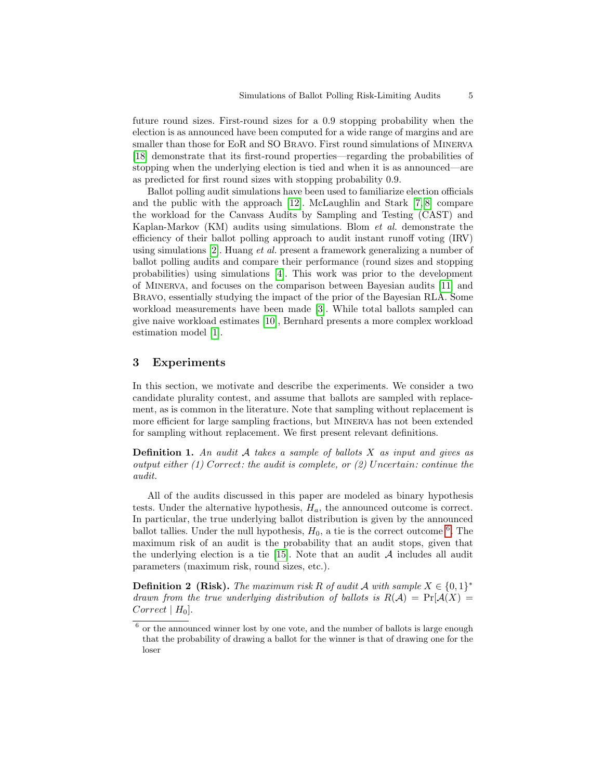future round sizes. First-round sizes for a 0.9 stopping probability when the election is as announced have been computed for a wide range of margins and are smaller than those for EoR and SO Bravo. First round simulations of Minerva [\[18\]](#page-14-7) demonstrate that its first-round properties—regarding the probabilities of stopping when the underlying election is tied and when it is as announced—are as predicted for first round sizes with stopping probability 0.9.

Ballot polling audit simulations have been used to familiarize election officials and the public with the approach  $[12]$ . McLaughlin and Stark  $[7, 8]$  $[7, 8]$  compare the workload for the Canvass Audits by Sampling and Testing (CAST) and Kaplan-Markov (KM) audits using simulations. Blom et al. demonstrate the efficiency of their ballot polling approach to audit instant runoff voting (IRV) using simulations [\[2\]](#page-13-1). Huang et al. present a framework generalizing a number of ballot polling audits and compare their performance (round sizes and stopping probabilities) using simulations [\[4\]](#page-14-11). This work was prior to the development of Minerva, and focuses on the comparison between Bayesian audits [\[11\]](#page-14-12) and Bravo, essentially studying the impact of the prior of the Bayesian RLA. Some workload measurements have been made [\[3\]](#page-14-13). While total ballots sampled can give naive workload estimates [\[10\]](#page-14-14), Bernhard presents a more complex workload estimation model [\[1\]](#page-13-2).

### <span id="page-4-0"></span>3 Experiments

In this section, we motivate and describe the experiments. We consider a two candidate plurality contest, and assume that ballots are sampled with replacement, as is common in the literature. Note that sampling without replacement is more efficient for large sampling fractions, but Minerva has not been extended for sampling without replacement. We first present relevant definitions.

**Definition 1.** An audit  $\mathcal A$  takes a sample of ballots  $X$  as input and gives as output either (1) Correct: the audit is complete, or  $(2)$  Uncertain: continue the audit.

All of the audits discussed in this paper are modeled as binary hypothesis tests. Under the alternative hypothesis,  $H_a$ , the announced outcome is correct. In particular, the true underlying ballot distribution is given by the announced ballot tallies. Under the null hypothesis,  $H_0$ , a tie is the correct outcome <sup>[6](#page-4-1)</sup>. The maximum risk of an audit is the probability that an audit stops, given that the underlying election is a tie  $[15]$ . Note that an audit  $A$  includes all audit parameters (maximum risk, round sizes, etc.).

**Definition 2 (Risk).** The maximum risk R of audit A with sample  $X \in \{0,1\}^*$ drawn from the true underlying distribution of ballots is  $R(\mathcal{A}) = Pr[\mathcal{A}(X)]$ Correct  $| H_0 |$ .

<span id="page-4-1"></span> $6$  or the announced winner lost by one vote, and the number of ballots is large enough that the probability of drawing a ballot for the winner is that of drawing one for the loser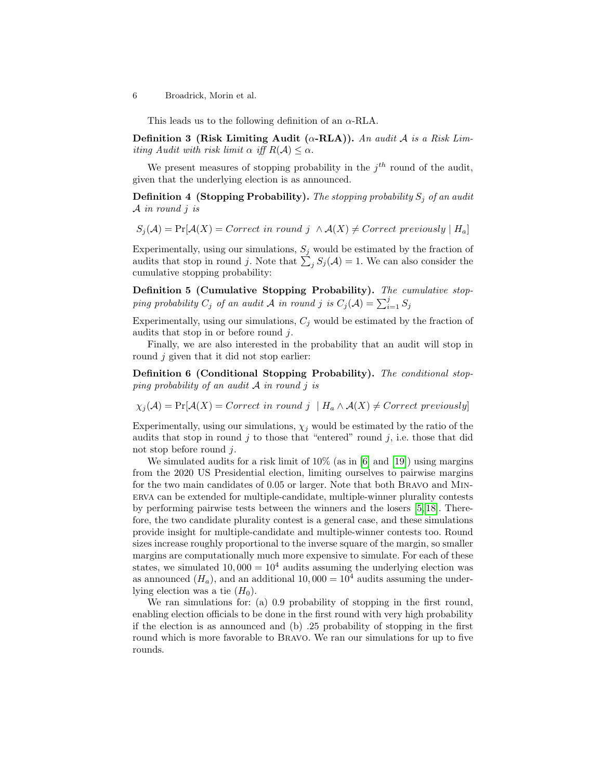This leads us to the following definition of an  $\alpha$ -RLA.

Definition 3 (Risk Limiting Audit ( $\alpha$ -RLA)). An audit A is a Risk Limiting Audit with risk limit  $\alpha$  iff  $R(\mathcal{A}) \leq \alpha$ .

We present measures of stopping probability in the  $j<sup>th</sup>$  round of the audit, given that the underlying election is as announced.

**Definition 4 (Stopping Probability).** The stopping probability  $S_j$  of an audit  $\mathcal A$  in round j is

$$
S_j(\mathcal{A}) = \Pr[\mathcal{A}(X) = Correct\ in\ round\ j \ \land \mathcal{A}(X) \neq Correct\ previously\ |H_a]
$$

Experimentally, using our simulations,  $S_j$  would be estimated by the fraction of audits that stop in round j. Note that  $\sum_j S_j(\mathcal{A}) = 1$ . We can also consider the cumulative stopping probability:

Definition 5 (Cumulative Stopping Probability). The cumulative stopping probability  $C_j$  of an audit A in round j is  $C_j(\mathcal{A}) = \sum_{i=1}^j S_j$ 

Experimentally, using our simulations,  $C_j$  would be estimated by the fraction of audits that stop in or before round  $j$ .

Finally, we are also interested in the probability that an audit will stop in round  $j$  given that it did not stop earlier:

Definition 6 (Conditional Stopping Probability). The conditional stopping probability of an audit  $A$  in round j is

 $\chi_j(\mathcal{A}) = \Pr[\mathcal{A}(X) = Correct\ in\ round\ j\ \mid H_a \wedge \mathcal{A}(X) \neq Correct\ previously]$ 

Experimentally, using our simulations,  $\chi_j$  would be estimated by the ratio of the audits that stop in round  $j$  to those that "entered" round  $j$ , i.e. those that did not stop before round  $i$ .

We simulated audits for a risk limit of  $10\%$  (as in [\[6\]](#page-14-2) and [\[19\]](#page-14-3)) using margins from the 2020 US Presidential election, limiting ourselves to pairwise margins for the two main candidates of 0.05 or larger. Note that both Bravo and Minerva can be extended for multiple-candidate, multiple-winner plurality contests by performing pairwise tests between the winners and the losers [\[5,](#page-14-1) [18\]](#page-14-7). Therefore, the two candidate plurality contest is a general case, and these simulations provide insight for multiple-candidate and multiple-winner contests too. Round sizes increase roughly proportional to the inverse square of the margin, so smaller margins are computationally much more expensive to simulate. For each of these states, we simulated  $10,000 = 10<sup>4</sup>$  audits assuming the underlying election was as announced  $(H_a)$ , and an additional 10,000 = 10<sup>4</sup> audits assuming the underlying election was a tie  $(H_0)$ .

We ran simulations for: (a) 0.9 probability of stopping in the first round, enabling election officials to be done in the first round with very high probability if the election is as announced and (b) .25 probability of stopping in the first round which is more favorable to Bravo. We ran our simulations for up to five rounds.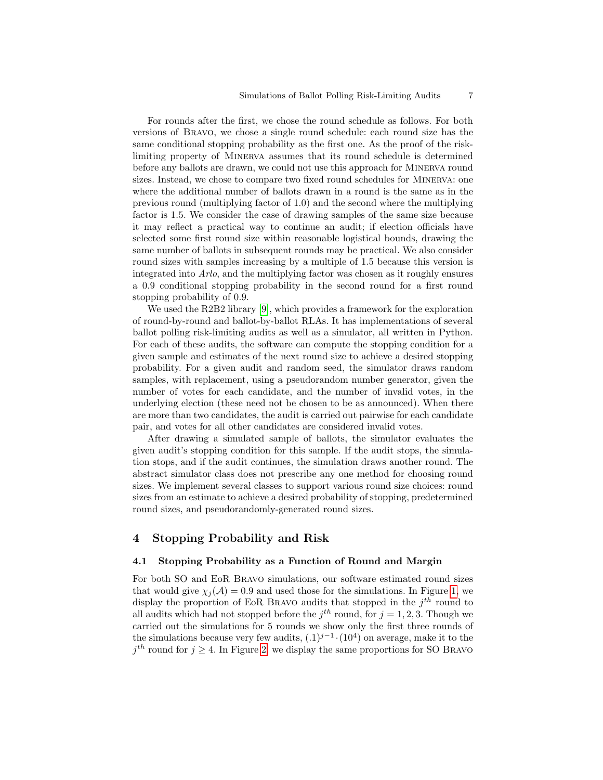For rounds after the first, we chose the round schedule as follows. For both versions of Bravo, we chose a single round schedule: each round size has the same conditional stopping probability as the first one. As the proof of the risklimiting property of Minerva assumes that its round schedule is determined before any ballots are drawn, we could not use this approach for Minerva round sizes. Instead, we chose to compare two fixed round schedules for Minerva: one where the additional number of ballots drawn in a round is the same as in the previous round (multiplying factor of 1.0) and the second where the multiplying factor is 1.5. We consider the case of drawing samples of the same size because it may reflect a practical way to continue an audit; if election officials have selected some first round size within reasonable logistical bounds, drawing the same number of ballots in subsequent rounds may be practical. We also consider round sizes with samples increasing by a multiple of 1.5 because this version is integrated into Arlo, and the multiplying factor was chosen as it roughly ensures a 0.9 conditional stopping probability in the second round for a first round stopping probability of 0.9.

We used the R2B2 library [\[9\]](#page-14-16), which provides a framework for the exploration of round-by-round and ballot-by-ballot RLAs. It has implementations of several ballot polling risk-limiting audits as well as a simulator, all written in Python. For each of these audits, the software can compute the stopping condition for a given sample and estimates of the next round size to achieve a desired stopping probability. For a given audit and random seed, the simulator draws random samples, with replacement, using a pseudorandom number generator, given the number of votes for each candidate, and the number of invalid votes, in the underlying election (these need not be chosen to be as announced). When there are more than two candidates, the audit is carried out pairwise for each candidate pair, and votes for all other candidates are considered invalid votes.

After drawing a simulated sample of ballots, the simulator evaluates the given audit's stopping condition for this sample. If the audit stops, the simulation stops, and if the audit continues, the simulation draws another round. The abstract simulator class does not prescribe any one method for choosing round sizes. We implement several classes to support various round size choices: round sizes from an estimate to achieve a desired probability of stopping, predetermined round sizes, and pseudorandomly-generated round sizes.

### <span id="page-6-0"></span>4 Stopping Probability and Risk

#### 4.1 Stopping Probability as a Function of Round and Margin

For both SO and EoR Bravo simulations, our software estimated round sizes that would give  $\chi_i(\mathcal{A}) = 0.9$  and used those for the simulations. In Figure [1,](#page-7-0) we display the proportion of EoR BRAVO audits that stopped in the  $j^{th}$  round to all audits which had not stopped before the  $j^{th}$  round, for  $j = 1, 2, 3$ . Though we carried out the simulations for 5 rounds we show only the first three rounds of the simulations because very few audits,  $(.1)^{j-1} \cdot (10^4)$  on average, make it to the  $j^{th}$  round for  $j \geq 4$ . In Figure [2,](#page-8-0) we display the same proportions for SO BRAVO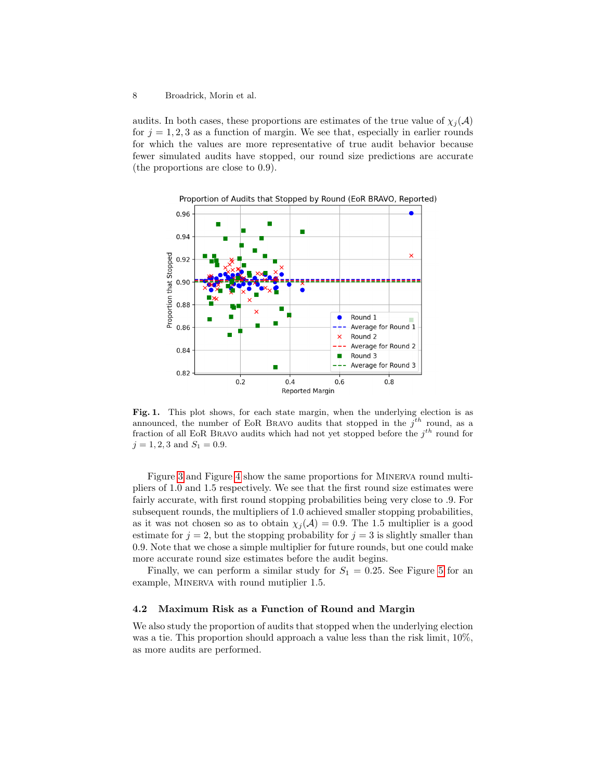audits. In both cases, these proportions are estimates of the true value of  $\chi_i(\mathcal{A})$ for  $j = 1, 2, 3$  as a function of margin. We see that, especially in earlier rounds for which the values are more representative of true audit behavior because fewer simulated audits have stopped, our round size predictions are accurate (the proportions are close to 0.9).



<span id="page-7-0"></span>Fig. 1. This plot shows, for each state margin, when the underlying election is as announced, the number of EoR BRAVO audits that stopped in the  $j<sup>th</sup>$  round, as a fraction of all EoR BRAVO audits which had not yet stopped before the  $j<sup>th</sup>$  round for  $j = 1, 2, 3$  and  $S_1 = 0.9$ .

Figure [3](#page-8-1) and Figure [4](#page-9-0) show the same proportions for Minerva round multipliers of 1.0 and 1.5 respectively. We see that the first round size estimates were fairly accurate, with first round stopping probabilities being very close to .9. For subsequent rounds, the multipliers of 1.0 achieved smaller stopping probabilities, as it was not chosen so as to obtain  $\chi_j(\mathcal{A}) = 0.9$ . The 1.5 multiplier is a good estimate for  $j = 2$ , but the stopping probability for  $j = 3$  is slightly smaller than 0.9. Note that we chose a simple multiplier for future rounds, but one could make more accurate round size estimates before the audit begins.

Finally, we can perform a similar study for  $S_1 = 0.25$ . See Figure [5](#page-9-1) for an example, Minerva with round mutiplier 1.5.

### 4.2 Maximum Risk as a Function of Round and Margin

We also study the proportion of audits that stopped when the underlying election was a tie. This proportion should approach a value less than the risk limit,  $10\%$ , as more audits are performed.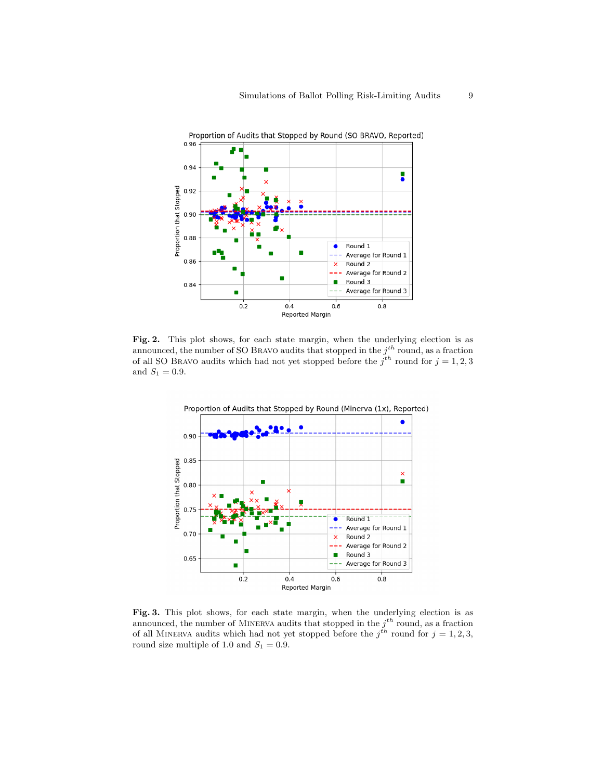

<span id="page-8-0"></span>Fig. 2. This plot shows, for each state margin, when the underlying election is as announced, the number of SO BRAVO audits that stopped in the  $j^{th}$  round, as a fraction of all SO BRAVO audits which had not yet stopped before the  $j^{th}$  round for  $j = 1, 2, 3$ and  $S_1 = 0.9$ .



<span id="page-8-1"></span>Fig. 3. This plot shows, for each state margin, when the underlying election is as announced, the number of MINERVA audits that stopped in the  $j^{th}$  round, as a fraction of all MINERVA audits which had not yet stopped before the  $j^{th}$  round for  $j = 1, 2, 3$ , round size multiple of 1.0 and  $S_1 = 0.9$ .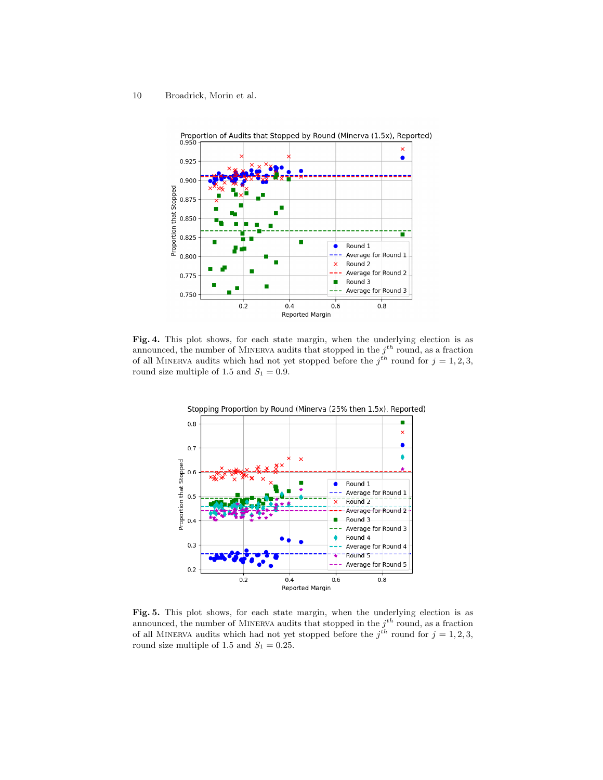

<span id="page-9-0"></span>Fig. 4. This plot shows, for each state margin, when the underlying election is as announced, the number of MINERVA audits that stopped in the  $j^{th}$  round, as a fraction of all MINERVA audits which had not yet stopped before the  $j<sup>th</sup>$  round for  $j = 1, 2, 3$ , round size multiple of 1.5 and  $S_1 = 0.9$ .



<span id="page-9-1"></span>Fig. 5. This plot shows, for each state margin, when the underlying election is as announced, the number of MINERVA audits that stopped in the  $j^{th}$  round, as a fraction of all MINERVA audits which had not yet stopped before the  $j<sup>th</sup>$  round for  $j = 1, 2, 3$ , round size multiple of 1.5 and  $S_1 = 0.25$ .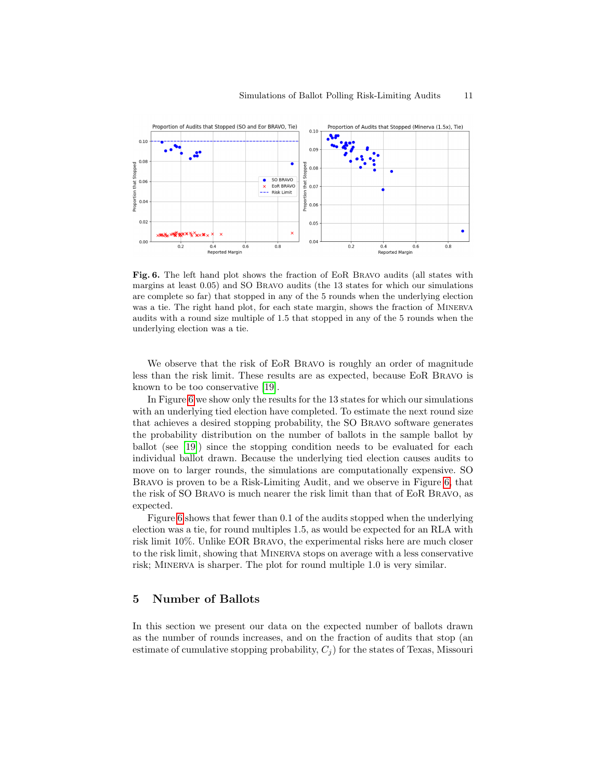

<span id="page-10-1"></span>Fig. 6. The left hand plot shows the fraction of EoR Bravo audits (all states with margins at least 0.05) and SO Bravo audits (the 13 states for which our simulations are complete so far) that stopped in any of the 5 rounds when the underlying election was a tie. The right hand plot, for each state margin, shows the fraction of Minerva audits with a round size multiple of 1.5 that stopped in any of the 5 rounds when the underlying election was a tie.

We observe that the risk of EoR Bravo is roughly an order of magnitude less than the risk limit. These results are as expected, because EoR Bravo is known to be too conservative [\[19\]](#page-14-3).

In Figure [6](#page-10-1) we show only the results for the 13 states for which our simulations with an underlying tied election have completed. To estimate the next round size that achieves a desired stopping probability, the SO Bravo software generates the probability distribution on the number of ballots in the sample ballot by ballot (see [\[19\]](#page-14-3)) since the stopping condition needs to be evaluated for each individual ballot drawn. Because the underlying tied election causes audits to move on to larger rounds, the simulations are computationally expensive. SO Bravo is proven to be a Risk-Limiting Audit, and we observe in Figure [6,](#page-10-1) that the risk of SO Bravo is much nearer the risk limit than that of EoR Bravo, as expected.

Figure [6](#page-10-1) shows that fewer than 0.1 of the audits stopped when the underlying election was a tie, for round multiples 1.5, as would be expected for an RLA with risk limit 10%. Unlike EOR Bravo, the experimental risks here are much closer to the risk limit, showing that Minerva stops on average with a less conservative risk; MINERVA is sharper. The plot for round multiple 1.0 is very similar.

### <span id="page-10-0"></span>5 Number of Ballots

In this section we present our data on the expected number of ballots drawn as the number of rounds increases, and on the fraction of audits that stop (an estimate of cumulative stopping probability,  $C_j$  for the states of Texas, Missouri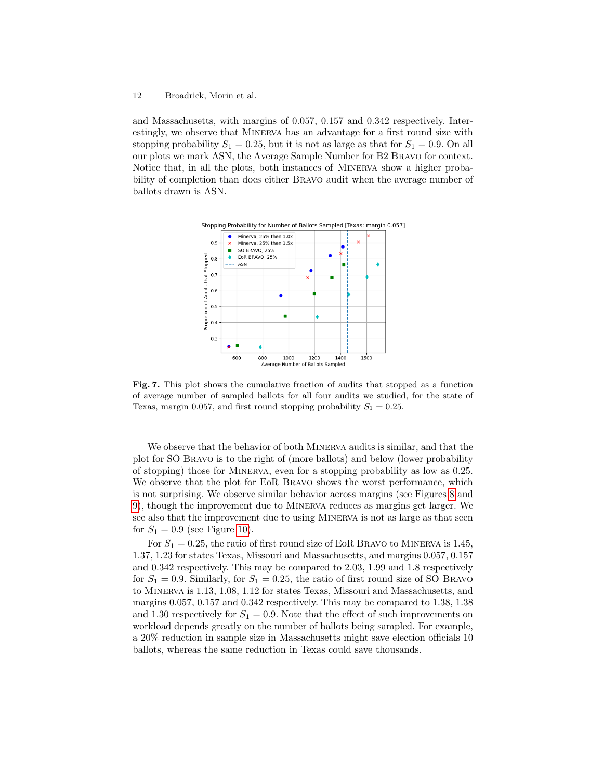and Massachusetts, with margins of 0.057, 0.157 and 0.342 respectively. Interestingly, we observe that Minerva has an advantage for a first round size with stopping probability  $S_1 = 0.25$ , but it is not as large as that for  $S_1 = 0.9$ . On all our plots we mark ASN, the Average Sample Number for B2 Bravo for context. Notice that, in all the plots, both instances of Minerva show a higher probability of completion than does either Bravo audit when the average number of ballots drawn is ASN.



Fig. 7. This plot shows the cumulative fraction of audits that stopped as a function of average number of sampled ballots for all four audits we studied, for the state of Texas, margin 0.057, and first round stopping probability  $S_1 = 0.25$ .

We observe that the behavior of both MINERVA audits is similar, and that the plot for SO Bravo is to the right of (more ballots) and below (lower probability of stopping) those for Minerva, even for a stopping probability as low as 0.25. We observe that the plot for EoR Bravo shows the worst performance, which is not surprising. We observe similar behavior across margins (see Figures [8](#page-12-0) and [9\)](#page-12-1), though the improvement due to Minerva reduces as margins get larger. We see also that the improvement due to using Minerva is not as large as that seen for  $S_1 = 0.9$  (see Figure [10\)](#page-13-3).

For  $S_1 = 0.25$ , the ratio of first round size of EoR BRAVO to MINERVA is 1.45, 1.37, 1.23 for states Texas, Missouri and Massachusetts, and margins 0.057, 0.157 and 0.342 respectively. This may be compared to 2.03, 1.99 and 1.8 respectively for  $S_1 = 0.9$ . Similarly, for  $S_1 = 0.25$ , the ratio of first round size of SO BRAVO to Minerva is 1.13, 1.08, 1.12 for states Texas, Missouri and Massachusetts, and margins 0.057, 0.157 and 0.342 respectively. This may be compared to 1.38, 1.38 and 1.30 respectively for  $S_1 = 0.9$ . Note that the effect of such improvements on workload depends greatly on the number of ballots being sampled. For example, a 20% reduction in sample size in Massachusetts might save election officials 10 ballots, whereas the same reduction in Texas could save thousands.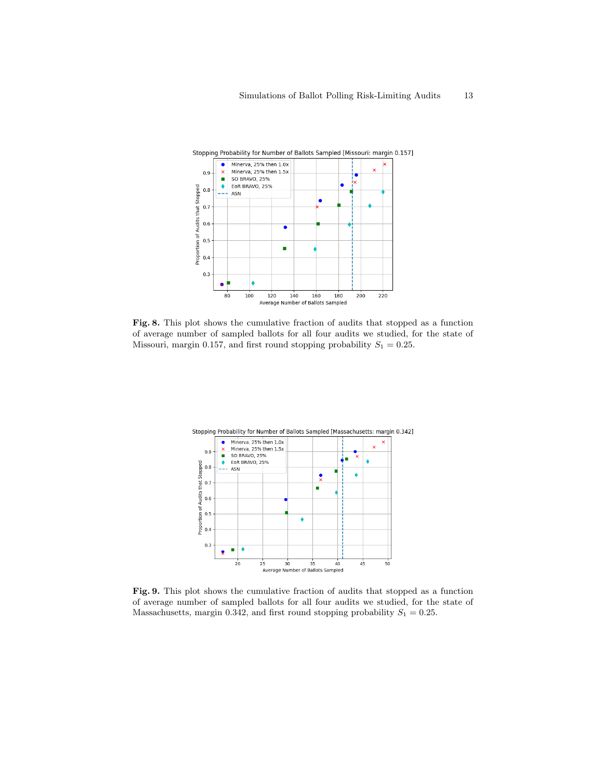

<span id="page-12-0"></span>Fig. 8. This plot shows the cumulative fraction of audits that stopped as a function of average number of sampled ballots for all four audits we studied, for the state of Missouri, margin 0.157, and first round stopping probability  $S_1 = 0.25$ .



<span id="page-12-1"></span>Fig. 9. This plot shows the cumulative fraction of audits that stopped as a function of average number of sampled ballots for all four audits we studied, for the state of Massachusetts, margin 0.342, and first round stopping probability  $S_1 = 0.25$ .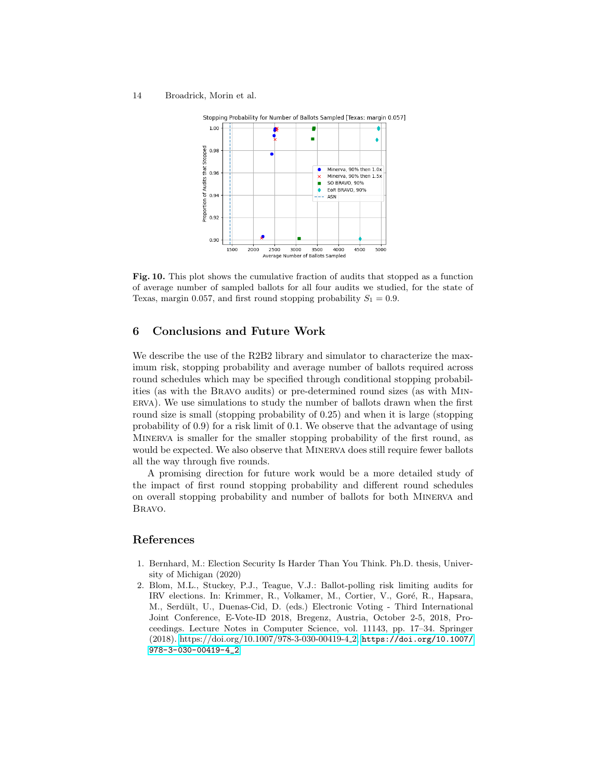

<span id="page-13-3"></span>Fig. 10. This plot shows the cumulative fraction of audits that stopped as a function of average number of sampled ballots for all four audits we studied, for the state of Texas, margin 0.057, and first round stopping probability  $S_1 = 0.9$ .

### <span id="page-13-0"></span>6 Conclusions and Future Work

We describe the use of the R2B2 library and simulator to characterize the maximum risk, stopping probability and average number of ballots required across round schedules which may be specified through conditional stopping probabilities (as with the Bravo audits) or pre-determined round sizes (as with Minerva). We use simulations to study the number of ballots drawn when the first round size is small (stopping probability of 0.25) and when it is large (stopping probability of 0.9) for a risk limit of 0.1. We observe that the advantage of using Minerva is smaller for the smaller stopping probability of the first round, as would be expected. We also observe that Minerva does still require fewer ballots all the way through five rounds.

A promising direction for future work would be a more detailed study of the impact of first round stopping probability and different round schedules on overall stopping probability and number of ballots for both Minerva and Bravo.

### References

- <span id="page-13-2"></span>1. Bernhard, M.: Election Security Is Harder Than You Think. Ph.D. thesis, University of Michigan (2020)
- <span id="page-13-1"></span>2. Blom, M.L., Stuckey, P.J., Teague, V.J.: Ballot-polling risk limiting audits for IRV elections. In: Krimmer, R., Volkamer, M., Cortier, V., Goré, R., Hapsara, M., Serdült, U., Duenas-Cid, D. (eds.) Electronic Voting - Third International Joint Conference, E-Vote-ID 2018, Bregenz, Austria, October 2-5, 2018, Proceedings. Lecture Notes in Computer Science, vol. 11143, pp. 17–34. Springer (2018). [https://doi.org/10.1007/978-3-030-00419-4](https://doi.org/10.1007/978-3-030-00419-4_2) 2, [https://doi.org/10.1007/](https://doi.org/10.1007/978-3-030-00419-4_2) [978-3-030-00419-4\\_2](https://doi.org/10.1007/978-3-030-00419-4_2)